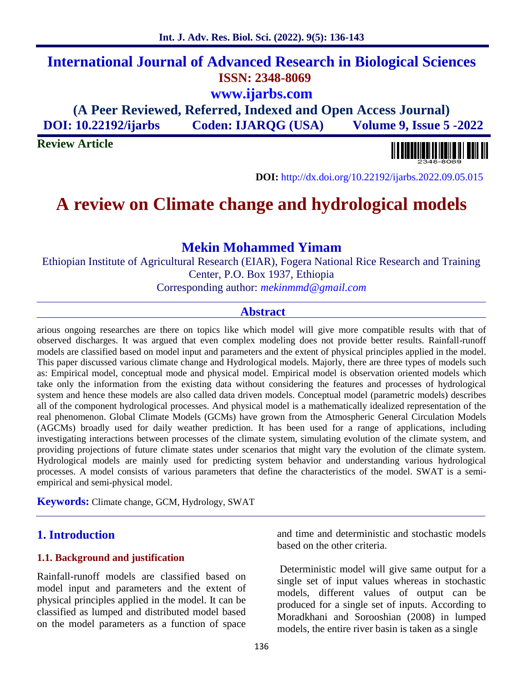# **International Journal of Advanced Research in Biological Sciences ISSN: 2348-8069 www.ijarbs.com**

**(A Peer Reviewed, Referred, Indexed and Open Access Journal) DOI: 10.22192/ijarbs Coden: IJARQG (USA) Volume 9, Issue 5 -2022**

**Review Article**

**DOI:** http://dx.doi.org/10.22192/ijarbs.2022.09.05.015

# **A review on Climate change and hydrological models**

# **Mekin Mohammed Yimam**

Ethiopian Institute of Agricultural Research (EIAR), Fogera National Rice Research and Training Center, P.O. Box 1937, Ethiopia

Corresponding author: *mekinmmd@gmail.com*

## **Abstract**

arious ongoing researches are there on topics like which model will give more compatible results with that of observed discharges. It was argued that even complex modeling does not provide better results. Rainfall-runoff models are classified based on model input and parameters and the extent of physical principles applied in the model. This paper discussed various climate change and Hydrological models. Majorly, there are three types of models such as: Empirical model, conceptual mode and physical model. Empirical model is observation oriented models which take only the information from the existing data without considering the features and processes of hydrological system and hence these models are also called data driven models. Conceptual model (parametric models) describes all of the component hydrological processes. And physical model is a mathematically idealized representation of the real phenomenon. Global Climate Models (GCMs) have grown from the Atmospheric General Circulation Models (AGCMs) broadly used for daily weather prediction. It has been used for a range of applications, including investigating interactions between processes of the climate system, simulating evolution of the climate system, and providing projections of future climate states under scenarios that might vary the evolution of the climate system. Hydrological models are mainly used for predicting system behavior and understanding various hydrological processes. A model consists of various parameters that define the characteristics of the model. SWAT is a semi empirical and semi-physical model.

**Keywords:** Climate change, GCM, Hydrology, SWAT

## **1. Introduction**

#### **1.1. Background and justification**

Rainfall-runoff models are classified based on model input and parameters and the extent of physical principles applied in the model. It can be classified as lumped and distributed model based on the model parameters as a function of space

and time and deterministic and stochastic models based on the other criteria.

Deterministic model will give same output for a single set of input values whereas in stochastic models, different values of output can be produced for a single set of inputs. According to Moradkhani and Sorooshian (2008) in lumped models, the entire river basin is taken as a single

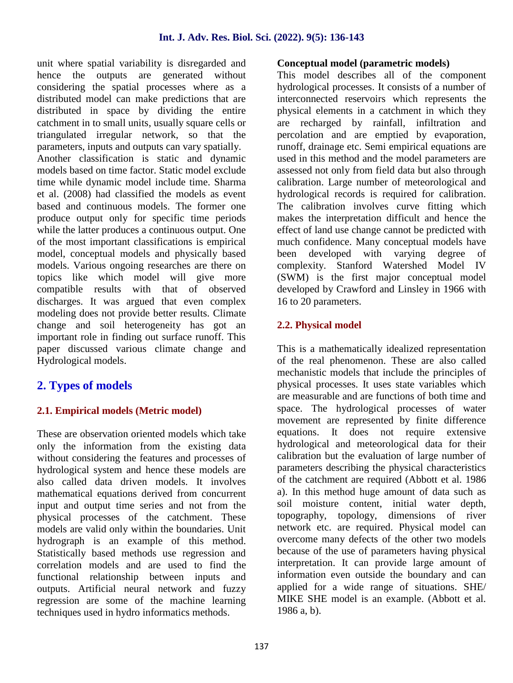unit where spatial variability is disregarded and hence the outputs are generated without considering the spatial processes where as a distributed model can make predictions that are distributed in space by dividing the entire catchment in to small units, usually square cells or triangulated irregular network, so that the parameters, inputs and outputs can vary spatially. Another classification is static and dynamic models based on time factor. Static model exclude time while dynamic model include time. Sharma et al. (2008) had classified the models as event based and continuous models. The former one produce output only for specific time periods while the latter produces a continuous output. One of the most important classifications is empirical model, conceptual models and physically based models. Various ongoing researches are there on topics like which model will give more compatible results with that of observed discharges. It was argued that even complex modeling does not provide better results. Climate change and soil heterogeneity has got an important role in finding out surface runoff. This paper discussed various climate change and Hydrological models.

# **2. Types of models**

# **2.1. Empirical models (Metric model)**

These are observation oriented models which take only the information from the existing data without considering the features and processes of hydrological system and hence these models are also called data driven models. It involves mathematical equations derived from concurrent input and output time series and not from the physical processes of the catchment. These models are valid only within the boundaries. Unit hydrograph is an example of this method. Statistically based methods use regression and correlation models and are used to find the functional relationship between inputs and outputs. Artificial neural network and fuzzy regression are some of the machine learning techniques used in hydro informatics methods.

#### **Conceptual model (parametric models)**

This model describes all of the component hydrological processes. It consists of a number of interconnected reservoirs which represents the physical elements in a catchment in which they are recharged by rainfall, infiltration and percolation and are emptied by evaporation, runoff, drainage etc. Semi empirical equations are used in this method and the model parameters are assessed not only from field data but also through calibration. Large number of meteorological and hydrological records is required for calibration. The calibration involves curve fitting which makes the interpretation difficult and hence the effect of land use change cannot be predicted with much confidence. Many conceptual models have been developed with varying degree of complexity. Stanford Watershed Model IV (SWM) is the first major conceptual model developed by Crawford and Linsley in 1966 with 16 to 20 parameters.

# **2.2. Physical model**

This is a mathematically idealized representation of the real phenomenon. These are also called mechanistic models that include the principles of physical processes. It uses state variables which are measurable and are functions of both time and space. The hydrological processes of water movement are represented by finite difference equations. It does not require extensive hydrological and meteorological data for their calibration but the evaluation of large number of parameters describing the physical characteristics of the catchment are required (Abbott et al. 1986 a). In this method huge amount of data such as soil moisture content, initial water depth, topography, topology, dimensions of river network etc. are required. Physical model can overcome many defects of the other two models because of the use of parameters having physical interpretation. It can provide large amount of information even outside the boundary and can applied for a wide range of situations. SHE/ MIKE SHE model is an example. (Abbott et al. 1986 a, b).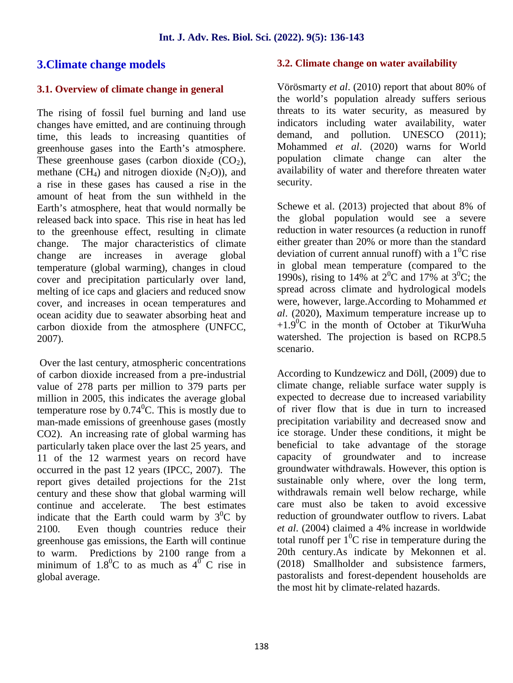## **3.Climate change models**

#### **3.1. Overview of climate change in general**

The rising of fossil fuel burning and land use changes have emitted, and are continuing through time, this leads to increasing quantities of greenhouse gases into the Earth's atmosphere. These greenhouse gases (carbon dioxide  $(CO<sub>2</sub>)$ , methane  $(CH_4)$  and nitrogen dioxide  $(N_2O)$ , and a rise in these gases has caused a rise in the amount of heat from the sun withheld in the Earth's atmosphere, heat that would normally be released back into space. This rise in heat has led to the greenhouse effect, resulting in climate change. The major characteristics of climate change are increases in average global temperature (global warming), changes in cloud cover and precipitation particularly over land, melting of ice caps and glaciers and reduced snow cover, and increases in ocean temperatures and ocean acidity due to seawater absorbing heat and carbon dioxide from the atmosphere (UNFCC, 2007).

Over the last century, atmospheric concentrations of carbon dioxide increased from a pre-industrial value of 278 parts per million to 379 parts per million in 2005, this indicates the average global temperature rose by  $0.74$ <sup>o</sup>C. This is mostly due to man-made emissions of greenhouse gases (mostly CO2). An increasing rate of global warming has particularly taken place over the last 25 years, and 11 of the 12 warmest years on record have occurred in the past 12 years (IPCC, 2007). The report gives detailed projections for the 21st century and these show that global warming will<br>continue and accelerate. The best estimates continue and accelerate. indicate that the Earth could warm by  $3^{0}C$  by 2100. Even though countries reduce their greenhouse gas emissions, the Earth will continue to warm. Predictions by 2100 range from a minimum of  $1.8^{\circ}$ C to as much as  $4^{\circ}$ C rise in global average.

#### **3.2. Climate change on water availability**

Vörösmarty *et al*. (2010) report that about 80% of the world's population already suffers serious threats to its water security, as measured by indicators including water availability, water demand, and pollution. UNESCO (2011); Mohammed *et al*. (2020) warns for World population climate change can alter the availability of water and therefore threaten water security.

Schewe et al. (2013) projected that about 8% of the global population would see a severe reduction in water resources (a reduction in runoff either greater than 20% or more than the standard deviation of current annual runoff) with a  $1^{0}C$  rise in global mean temperature (compared to the 1990s), rising to 14% at  $2^{0}C$  and 17% at  $3^{0}C$ ; the spread across climate and hydrological models were, however, large.According to Mohammed *et al*. (2020), Maximum temperature increase up to  $+1.9^{\circ}$ C in the month of October at TikurWuha watershed. The projection is based on RCP8.5 scenario.

According to Kundzewicz and Döll, (2009) due to climate change, reliable surface water supply is expected to decrease due to increased variability of river flow that is due in turn to increased precipitation variability and decreased snow and ice storage. Under these conditions, it might be beneficial to take advantage of the storage capacity of groundwater and to increase groundwater withdrawals. However, this option is sustainable only where, over the long term, withdrawals remain well below recharge, while care must also be taken to avoid excessive reduction of groundwater outflow to rivers. Labat *et al*. (2004) claimed a 4% increase in worldwide total runoff per  $1^0C$  rise in temperature during the 20th century.As indicate by Mekonnen et al. (2018) Smallholder and subsistence farmers, pastoralists and forest-dependent households are the most hit by climate-related hazards.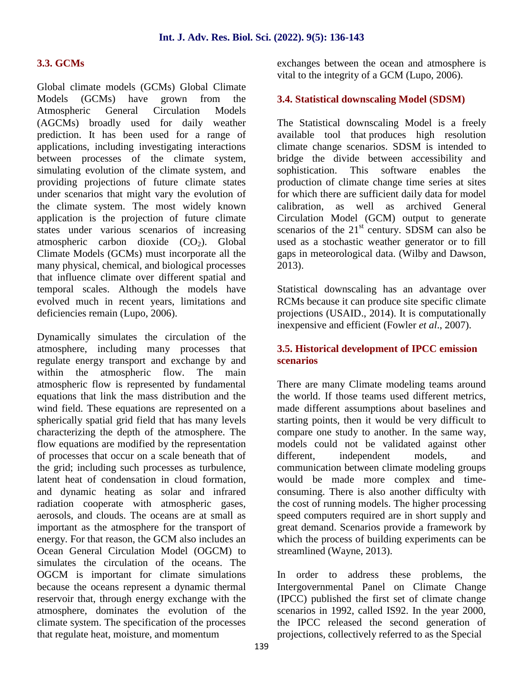#### **3.3. GCMs**

Global climate models (GCMs) Global Climate Models (GCMs) have grown from the Atmospheric General Circulation Models (AGCMs) broadly used for daily weather prediction. It has been used for a range of applications, including investigating interactions between processes of the climate system, simulating evolution of the climate system, and sophistication. providing projections of future climate states under scenarios that might vary the evolution of the climate system. The most widely known application is the projection of future climate states under various scenarios of increasing atmospheric carbon dioxide  $(CO<sub>2</sub>)$ . Global Climate Models (GCMs) must incorporate all the many physical, chemical, and biological processes that influence climate over different spatial and temporal scales. Although the models have evolved much in recent years, limitations and deficiencies remain (Lupo, 2006).

Dynamically simulates the circulation of the atmosphere, including many processes that regulate energy transport and exchange by and within the atmospheric flow. The main atmospheric flow is represented by fundamental equations that link the mass distribution and the wind field. These equations are represented on a spherically spatial grid field that has many levels characterizing the depth of the atmosphere. The flow equations are modified by the representation of processes that occur on a scale beneath that of the grid; including such processes as turbulence, latent heat of condensation in cloud formation, and dynamic heating as solar and infrared radiation cooperate with atmospheric gases, aerosols, and clouds. The oceans are at small as important as the atmosphere for the transport of energy. For that reason, the GCM also includes an Ocean General Circulation Model (OGCM) to simulates the circulation of the oceans. The OGCM is important for climate simulations because the oceans represent a dynamic thermal reservoir that, through energy exchange with the atmosphere, dominates the evolution of the climate system. The specification of the processes that regulate heat, moisture, and momentum

exchanges between the ocean and atmosphere is vital to the integrity of a GCM (Lupo, 2006).

#### **3.4. Statistical downscaling Model (SDSM)**

The Statistical downscaling Model is a freely available tool that produces high resolution climate change scenarios. SDSM is intended to bridge the divide between accessibility and This software enables the production of climate change time series at sites for which there are sufficient daily data for model calibration, as well as archived General Circulation Model (GCM) output to generate scenarios of the  $21<sup>st</sup>$  century. SDSM can also be used as a stochastic weather generator or to fill gaps in meteorological data. (Wilby and Dawson, 2013).

Statistical downscaling has an advantage over RCMs because it can produce site specific climate projections (USAID., 2014). It is computationally inexpensive and efficient (Fowler *et al*., 2007).

#### **3.5. Historical development of IPCC emission scenarios**

There are many Climate modeling teams around the world. If those teams used different metrics, made different assumptions about baselines and starting points, then it would be very difficult to compare one study to another. In the same way, models could not be validated against other different, independent models, and communication between climate modeling groups would be made more complex and time consuming. There is also another difficulty with the cost of running models. The higher processing speed computers required are in short supply and great demand. Scenarios provide a framework by which the process of building experiments can be streamlined (Wayne, 2013).

In order to address these problems, the Intergovernmental Panel on Climate Change (IPCC) published the first set of climate change scenarios in 1992, called IS92. In the year 2000, the IPCC released the second generation of projections, collectively referred to as the Special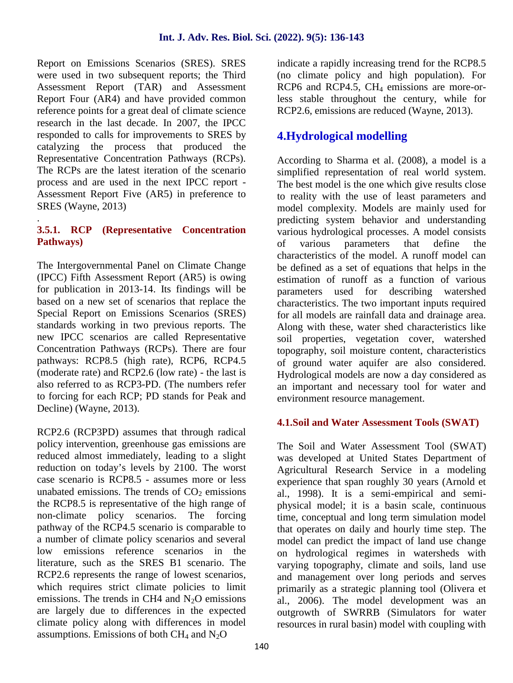Report on Emissions Scenarios (SRES). SRES were used in two subsequent reports; the Third Assessment Report (TAR) and Assessment Report Four (AR4) and have provided common reference points for a great deal of climate science research in the last decade. In 2007, the IPCC responded to calls for improvements to SRES by catalyzing the process that produced the Representative Concentration Pathways (RCPs). The RCPs are the latest iteration of the scenario process and are used in the next IPCC report - Assessment Report Five (AR5) in preference to SRES (Wayne, 2013)

#### .**3.5.1. RCP (Representative Concentration Pathways)**

The Intergovernmental Panel on Climate Change (IPCC) Fifth Assessment Report (AR5) is owing for publication in 2013-14. Its findings will be based on a new set of scenarios that replace the Special Report on Emissions Scenarios (SRES) standards working in two previous reports. The new IPCC scenarios are called Representative Concentration Pathways (RCPs). There are four pathways: RCP8.5 (high rate), RCP6, RCP4.5 (moderate rate) and RCP2.6 (low rate) - the last is also referred to as RCP3-PD. (The numbers refer to forcing for each RCP; PD stands for Peak and Decline) (Wayne, 2013).

RCP2.6 (RCP3PD) assumes that through radical policy intervention, greenhouse gas emissions are reduced almost immediately, leading to a slight reduction on today's levels by 2100. The worst case scenario is RCP8.5 - assumes more or less unabated emissions. The trends of  $CO<sub>2</sub>$  emissions the RCP8.5 is representative of the high range of non-climate policy scenarios. The forcing pathway of the RCP4.5 scenario is comparable to a number of climate policy scenarios and several low emissions reference scenarios in the literature, such as the SRES B1 scenario. The RCP2.6 represents the range of lowest scenarios, which requires strict climate policies to limit emissions. The trends in CH4 and  $N<sub>2</sub>O$  emissions are largely due to differences in the expected climate policy along with differences in model assumptions. Emissions of both  $CH_4$  and  $N_2O$ 

indicate a rapidly increasing trend for the RCP8.5 (no climate policy and high population). For RCP6 and RCP4.5, CH<sub>4</sub> emissions are more-orless stable throughout the century, while for RCP2.6, emissions are reduced (Wayne, 2013).

# **4.Hydrological modelling**

According to Sharma et al. (2008), a model is a simplified representation of real world system. The best model is the one which give results close to reality with the use of least parameters and model complexity. Models are mainly used for predicting system behavior and understanding various hydrological processes. A model consists of various parameters that define the characteristics of the model. A runoff model can be defined as a set of equations that helps in the estimation of runoff as a function of various parameters used for describing watershed characteristics. The two important inputs required for all models are rainfall data and drainage area. Along with these, water shed characteristics like soil properties, vegetation cover, watershed topography, soil moisture content, characteristics of ground water aquifer are also considered. Hydrological models are now a day considered as an important and necessary tool for water and environment resource management.

## **4.1.Soil and Water Assessment Tools (SWAT)**

The Soil and Water Assessment Tool (SWAT) was developed at United States Department of Agricultural Research Service in a modeling experience that span roughly 30 years (Arnold et al., 1998). It is a semi-empirical and semi physical model; it is a basin scale, continuous time, conceptual and long term simulation model that operates on daily and hourly time step. The model can predict the impact of land use change on hydrological regimes in watersheds with varying topography, climate and soils, land use and management over long periods and serves primarily as a strategic planning tool (Olivera et al., 2006). The model development was an outgrowth of SWRRB (Simulators for water resources in rural basin) model with coupling with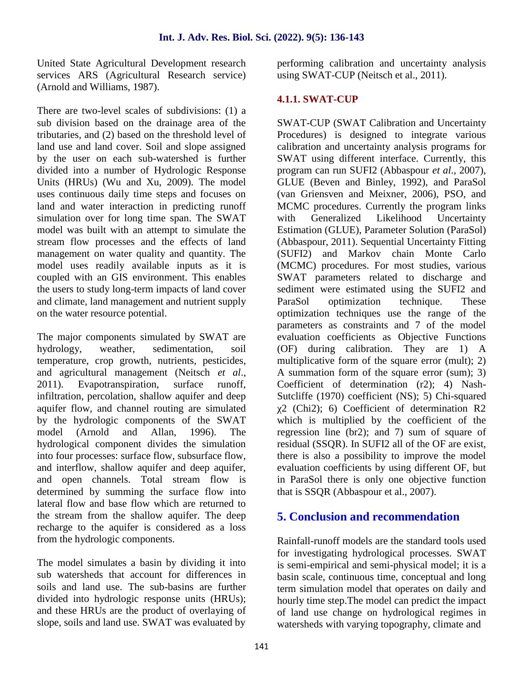United State Agricultural Development research services ARS (Agricultural Research service) (Arnold and Williams, 1987).

There are two-level scales of subdivisions: (1) a sub division based on the drainage area of the tributaries, and (2) based on the threshold level of land use and land cover. Soil and slope assigned by the user on each sub-watershed is further divided into a number of Hydrologic Response Units (HRUs) (Wu and Xu, 2009). The model uses continuous daily time steps and focuses on land and water interaction in predicting runoff simulation over for long time span. The SWAT with model was built with an attempt to simulate the stream flow processes and the effects of land management on water quality and quantity. The model uses readily available inputs as it is coupled with an GIS environment. This enables the users to study long-term impacts of land cover and climate, land management and nutrient supply ParaSol on the water resource potential.

The major components simulated by SWAT are hydrology, weather, sedimentation, soil temperature, crop growth, nutrients, pesticides, and agricultural management (Neitsch *et al*., 2011). Evapotranspiration, surface runoff, infiltration, percolation, shallow aquifer and deep aquifer flow, and channel routing are simulated by the hydrologic components of the SWAT model (Arnold and Allan, 1996). The hydrological component divides the simulation into four processes: surface flow, subsurface flow, and interflow, shallow aquifer and deep aquifer, and open channels. Total stream flow is determined by summing the surface flow into lateral flow and base flow which are returned to the stream from the shallow aquifer. The deep recharge to the aquifer is considered as a loss from the hydrologic components.

The model simulates a basin by dividing it into sub watersheds that account for differences in soils and land use. The sub-basins are further divided into hydrologic response units (HRUs); and these HRUs are the product of overlaying of slope, soils and land use. SWAT was evaluated by

performing calibration and uncertainty analysis using SWAT-CUP (Neitsch et al., 2011).

## **4.1.1. SWAT-CUP**

SWAT-CUP (SWAT Calibration and Uncertainty Procedures) is designed to integrate various calibration and uncertainty analysis programs for SWAT using different interface. Currently, this program can run SUFI2 (Abbaspour *et al*., 2007), GLUE (Beven and Binley, 1992), and ParaSol (van Griensven and Meixner, 2006), PSO, and MCMC procedures. Currently the program links Generalized Likelihood Uncertainty Estimation (GLUE), Parameter Solution (ParaSol) (Abbaspour, 2011). Sequential Uncertainty Fitting (SUFI2) and Markov chain Monte Carlo (MCMC) procedures. For most studies, various SWAT parameters related to discharge and sediment were estimated using the SUFI2 and optimization technique. These optimization techniques use the range of the parameters as constraints and 7 of the model evaluation coefficients as Objective Functions (OF) during calibration. They are 1) A multiplicative form of the square error (mult); 2) A summation form of the square error (sum); 3) Coefficient of determination (r2); 4) Nash- Sutcliffe (1970) coefficient (NS); 5) Chi-squared 2 (Chi2); 6) Coefficient of determination R2 which is multiplied by the coefficient of the regression line (br2); and 7) sum of square of residual (SSQR). In SUFI2 all of the OF are exist, there is also a possibility to improve the model evaluation coefficients by using different OF, but in ParaSol there is only one objective function that is SSQR (Abbaspour et al., 2007).

# **5. Conclusion and recommendation**

Rainfall-runoff models are the standard tools used for investigating hydrological processes. SWAT is semi-empirical and semi-physical model; it is a basin scale, continuous time, conceptual and long term simulation model that operates on daily and hourly time step.The model can predict the impact of land use change on hydrological regimes in watersheds with varying topography, climate and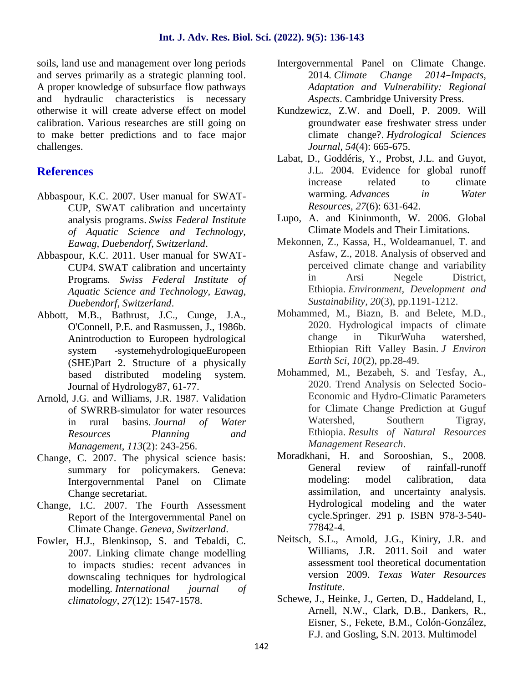soils, land use and management over long periods and serves primarily as a strategic planning tool. A proper knowledge of subsurface flow pathways and hydraulic characteristics is necessary otherwise it will create adverse effect on model calibration. Various researches are still going on to make better predictions and to face major challenges.

# **References**

- Abbaspour, K.C. 2007. User manual for SWAT- CUP, SWAT calibration and uncertainty analysis programs. *Swiss Federal Institute of Aquatic Science and Technology, Eawag, Duebendorf, Switzerland*.
- Abbaspour, K.C. 2011. User manual for SWAT- CUP4. SWAT calibration and uncertainty Programs*. Swiss Federal Institute of Aquatic Science and Technology, Eawag, Duebendorf, Switzerland*.
- Abbott, M.B., Bathrust, J.C., Cunge, J.A., O'Connell, P.E. and Rasmussen, J., 1986b. Anintroduction to Europeen hydrological system -systemehydrologiqueEuropeen (SHE)Part 2. Structure of a physically based distributed modeling system. Journal of Hydrology87, 61-77.
- Arnold, J.G. and Williams, J.R. 1987. Validation of SWRRB-simulator for water resources in rural basins. *Journal of Water Resources Planning and Management*, *113*(2): 243-256.
- Change, C. 2007. The physical science basis: summary for policymakers. Geneva: Intergovernmental Panel on Climate Change secretariat.
- Change, I.C. 2007. The Fourth Assessment Report of the Intergovernmental Panel on Climate Change. *Geneva, Switzerland*.
- Fowler, H.J., Blenkinsop, S. and Tebaldi, C. 2007. Linking climate change modelling to impacts studies: recent advances in downscaling techniques for hydrological modelling. *International journal of climatology*, *27*(12): 1547-1578.
- Intergovernmental Panel on Climate Change. 2014. *Climate Change 2014–Impacts, Adaptation and Vulnerability: Regional Aspects*. Cambridge University Press.
- Kundzewicz, Z.W. and Doell, P. 2009. Will groundwater ease freshwater stress under climate change?. *Hydrological Sciences Journal*, *54*(4): 665-675.
- Labat, D., Goddéris, Y., Probst, J.L. and Guyot, J.L. 2004. Evidence for global runoff increase related to climate warming. *Advances in Water Resources*, *27*(6): 631-642.
- Lupo, A. and Kininmonth, W. 2006. Global Climate Models and Their Limitations.
- Mekonnen, Z., Kassa, H., Woldeamanuel, T. and Asfaw, Z., 2018. Analysis of observed and perceived climate change and variability in Arsi Negele District, Ethiopia. *Environment, Development and Sustainability*, *20*(3), pp.1191-1212.
- Mohammed, M., Biazn, B. and Belete, M.D., 2020. Hydrological impacts of climate change in TikurWuha watershed, Ethiopian Rift Valley Basin. *J Environ Earth Sci*, *10*(2), pp.28-49.
- Mohammed, M., Bezabeh, S. and Tesfay, A., 2020. Trend Analysis on Selected Socio- Economic and Hydro-Climatic Parameters for Climate Change Prediction at Guguf Watershed, Southern Tigray, Ethiopia. *Results of Natural Resources Management Research*.
- Moradkhani, H. and Sorooshian, S., 2008. General review of rainfall-runoff modeling: model calibration, data assimilation, and uncertainty analysis. Hydrological modeling and the water cycle.Springer. 291 p. ISBN 978-3-540- 77842-4.
- Neitsch, S.L., Arnold, J.G., Kiniry, J.R. and Williams, J.R. 2011. Soil and water assessment tool theoretical documentation version 2009. *Texas Water Resources Institute*.
- Schewe, J., Heinke, J., Gerten, D., Haddeland, I., Arnell, N.W., Clark, D.B., Dankers, R., Eisner, S., Fekete, B.M., Colón-González, F.J. and Gosling, S.N. 2013. Multimodel